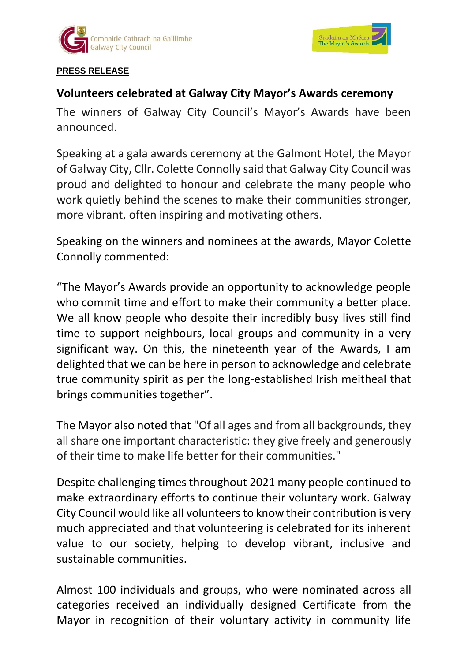



#### **PRESS RELEASE**

# **Volunteers celebrated at Galway City Mayor's Awards ceremony**

The winners of Galway City Council's Mayor's Awards have been announced.

Speaking at a gala awards ceremony at the Galmont Hotel, the Mayor of Galway City, Cllr. Colette Connolly said that Galway City Council was proud and delighted to honour and celebrate the many people who work quietly behind the scenes to make their communities stronger, more vibrant, often inspiring and motivating others.

Speaking on the winners and nominees at the awards, Mayor Colette Connolly commented:

"The Mayor's Awards provide an opportunity to acknowledge people who commit time and effort to make their community a better place. We all know people who despite their incredibly busy lives still find time to support neighbours, local groups and community in a very significant way. On this, the nineteenth year of the Awards, I am delighted that we can be here in person to acknowledge and celebrate true community spirit as per the long-established Irish meitheal that brings communities together".

The Mayor also noted that "Of all ages and from all backgrounds, they all share one important characteristic: they give freely and generously of their time to make life better for their communities."

Despite challenging times throughout 2021 many people continued to make extraordinary efforts to continue their voluntary work. Galway City Council would like all volunteers to know their contribution is very much appreciated and that volunteering is celebrated for its inherent value to our society, helping to develop vibrant, inclusive and sustainable communities.

Almost 100 individuals and groups, who were nominated across all categories received an individually designed Certificate from the Mayor in recognition of their voluntary activity in community life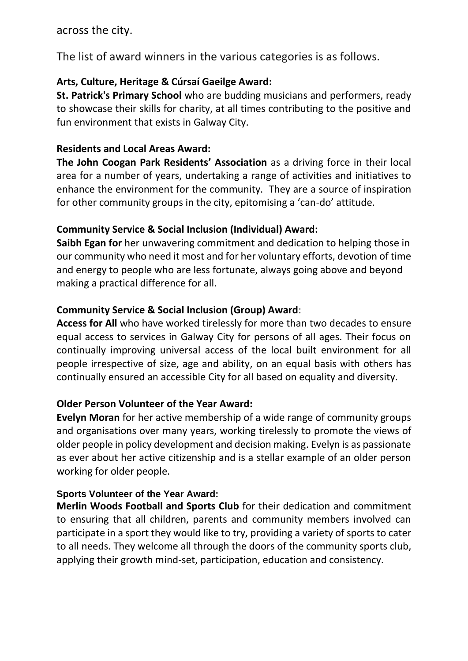across the city.

The list of award winners in the various categories is as follows.

## **Arts, Culture, Heritage & Cúrsaí Gaeilge Award:**

**St. Patrick's Primary School** who are budding musicians and performers, ready to showcase their skills for charity, at all times contributing to the positive and fun environment that exists in Galway City.

## **Residents and Local Areas Award:**

**The John Coogan Park Residents' Association** as a driving force in their local area for a number of years, undertaking a range of activities and initiatives to enhance the environment for the community. They are a source of inspiration for other community groups in the city, epitomising a 'can-do' attitude.

## **Community Service & Social Inclusion (Individual) Award:**

**Saibh Egan for** her unwavering commitment and dedication to helping those in our community who need it most and for her voluntary efforts, devotion of time and energy to people who are less fortunate, always going above and beyond making a practical difference for all.

## **Community Service & Social Inclusion (Group) Award**:

**Access for All** who have worked tirelessly for more than two decades to ensure equal access to services in Galway City for persons of all ages. Their focus on continually improving universal access of the local built environment for all people irrespective of size, age and ability, on an equal basis with others has continually ensured an accessible City for all based on equality and diversity.

## **Older Person Volunteer of the Year Award:**

**Evelyn Moran** for her active membership of a wide range of community groups and organisations over many years, working tirelessly to promote the views of older people in policy development and decision making. Evelyn is as passionate as ever about her active citizenship and is a stellar example of an older person working for older people.

## **Sports Volunteer of the Year Award:**

**Merlin Woods Football and Sports Club** for their dedication and commitment to ensuring that all children, parents and community members involved can participate in a sport they would like to try, providing a variety of sports to cater to all needs. They welcome all through the doors of the community sports club, applying their growth mind-set, participation, education and consistency.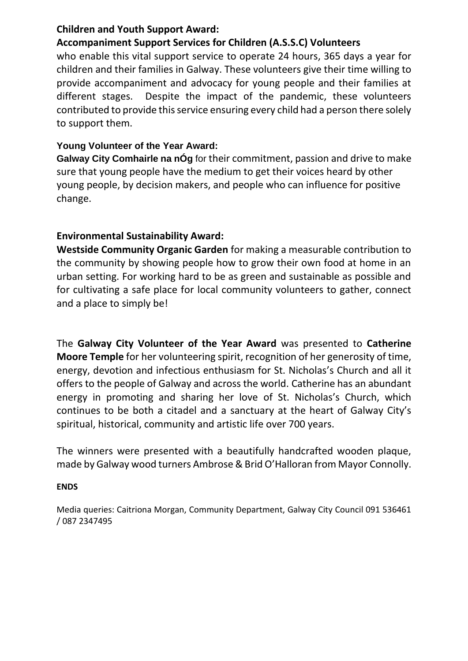#### **Children and Youth Support Award:**

## **Accompaniment Support Services for Children (A.S.S.C) Volunteers**

who enable this vital support service to operate 24 hours, 365 days a year for children and their families in Galway. These volunteers give their time willing to provide accompaniment and advocacy for young people and their families at different stages. Despite the impact of the pandemic, these volunteers contributed to provide this service ensuring every child had a person there solely to support them.

#### **Young Volunteer of the Year Award:**

**Galway City Comhairle na nÓg** for their commitment, passion and drive to make sure that young people have the medium to get their voices heard by other young people, by decision makers, and people who can influence for positive change.

## **Environmental Sustainability Award:**

**Westside Community Organic Garden** for making a measurable contribution to the community by showing people how to grow their own food at home in an urban setting. For working hard to be as green and sustainable as possible and for cultivating a safe place for local community volunteers to gather, connect and a place to simply be!

The **Galway City Volunteer of the Year Award** was presented to **Catherine Moore Temple** for her volunteering spirit, recognition of her generosity of time, energy, devotion and infectious enthusiasm for St. Nicholas's Church and all it offers to the people of Galway and across the world. Catherine has an abundant energy in promoting and sharing her love of St. Nicholas's Church, which continues to be both a citadel and a sanctuary at the heart of Galway City's spiritual, historical, community and artistic life over 700 years.

The winners were presented with a beautifully handcrafted wooden plaque, made by Galway wood turners Ambrose & Brid O'Halloran from Mayor Connolly.

#### **ENDS**

Media queries: Caitriona Morgan, Community Department, Galway City Council 091 536461 / 087 2347495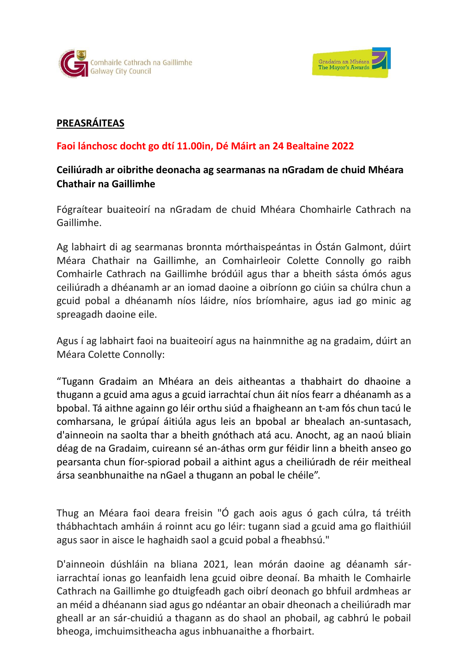



#### **PREASRÁITEAS**

#### **Faoi lánchosc docht go dtí 11.00in, Dé Máirt an 24 Bealtaine 2022**

## **Ceiliúradh ar oibrithe deonacha ag searmanas na nGradam de chuid Mhéara Chathair na Gaillimhe**

Fógraítear buaiteoirí na nGradam de chuid Mhéara Chomhairle Cathrach na Gaillimhe.

Ag labhairt di ag searmanas bronnta mórthaispeántas in Óstán Galmont, dúirt Méara Chathair na Gaillimhe, an Comhairleoir Colette Connolly go raibh Comhairle Cathrach na Gaillimhe bródúil agus thar a bheith sásta ómós agus ceiliúradh a dhéanamh ar an iomad daoine a oibríonn go ciúin sa chúlra chun a gcuid pobal a dhéanamh níos láidre, níos bríomhaire, agus iad go minic ag spreagadh daoine eile.

Agus í ag labhairt faoi na buaiteoirí agus na hainmnithe ag na gradaim, dúirt an Méara Colette Connolly:

"Tugann Gradaim an Mhéara an deis aitheantas a thabhairt do dhaoine a thugann a gcuid ama agus a gcuid iarrachtaí chun áit níos fearr a dhéanamh as a bpobal. Tá aithne againn go léir orthu siúd a fhaigheann an t-am fós chun tacú le comharsana, le grúpaí áitiúla agus leis an bpobal ar bhealach an-suntasach, d'ainneoin na saolta thar a bheith gnóthach atá acu. Anocht, ag an naoú bliain déag de na Gradaim, cuireann sé an-áthas orm gur féidir linn a bheith anseo go pearsanta chun fíor-spiorad pobail a aithint agus a cheiliúradh de réir meitheal ársa seanbhunaithe na nGael a thugann an pobal le chéile".

Thug an Méara faoi deara freisin "Ó gach aois agus ó gach cúlra, tá tréith thábhachtach amháin á roinnt acu go léir: tugann siad a gcuid ama go flaithiúil agus saor in aisce le haghaidh saol a gcuid pobal a fheabhsú."

D'ainneoin dúshláin na bliana 2021, lean mórán daoine ag déanamh sáriarrachtaí ionas go leanfaidh lena gcuid oibre deonaí. Ba mhaith le Comhairle Cathrach na Gaillimhe go dtuigfeadh gach oibrí deonach go bhfuil ardmheas ar an méid a dhéanann siad agus go ndéantar an obair dheonach a cheiliúradh mar gheall ar an sár-chuidiú a thagann as do shaol an phobail, ag cabhrú le pobail bheoga, imchuimsitheacha agus inbhuanaithe a fhorbairt.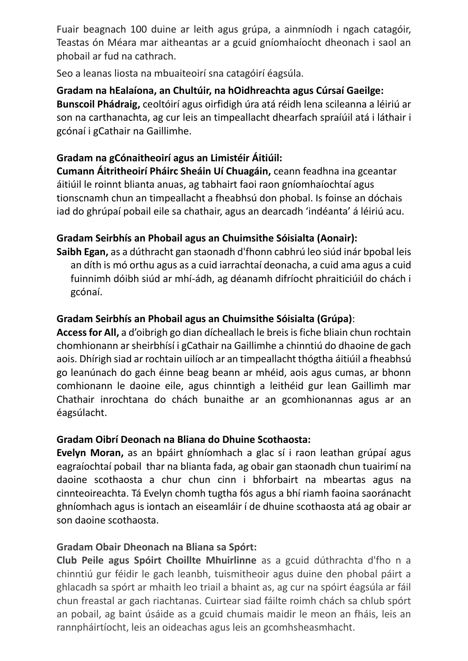Fuair beagnach 100 duine ar leith agus grúpa, a ainmníodh i ngach catagóir, Teastas ón Méara mar aitheantas ar a gcuid gníomhaíocht dheonach i saol an phobail ar fud na cathrach.

Seo a leanas liosta na mbuaiteoirí sna catagóirí éagsúla.

**Gradam na hEalaíona, an Chultúir, na hOidhreachta agus Cúrsaí Gaeilge: Bunscoil Phádraig,** ceoltóirí agus oirfidigh úra atá réidh lena scileanna a léiriú ar son na carthanachta, ag cur leis an timpeallacht dhearfach spraíúil atá i láthair i gcónaí i gCathair na Gaillimhe.

## **Gradam na gCónaitheoirí agus an Limistéir Áitiúil:**

**Cumann Áitritheoirí Pháirc Sheáin Uí Chuagáin,** ceann feadhna ina gceantar áitiúil le roinnt blianta anuas, ag tabhairt faoi raon gníomhaíochtaí agus tionscnamh chun an timpeallacht a fheabhsú don phobal. Is foinse an dóchais iad do ghrúpaí pobail eile sa chathair, agus an dearcadh 'indéanta' á léiriú acu.

# **Gradam Seirbhís an Phobail agus an Chuimsithe Sóisialta (Aonair):**

**Saibh Egan,** as a dúthracht gan staonadh d'fhonn cabhrú leo siúd inár bpobal leis an díth is mó orthu agus as a cuid iarrachtaí deonacha, a cuid ama agus a cuid fuinnimh dóibh siúd ar mhí-ádh, ag déanamh difríocht phraiticiúil do chách i gcónaí.

#### **Gradam Seirbhís an Phobail agus an Chuimsithe Sóisialta (Grúpa)**:

**Access for All,** a d'oibrigh go dian dícheallach le breis is fiche bliain chun rochtain chomhionann ar sheirbhísí i gCathair na Gaillimhe a chinntiú do dhaoine de gach aois. Dhírigh siad ar rochtain uilíoch ar an timpeallacht thógtha áitiúil a fheabhsú go leanúnach do gach éinne beag beann ar mhéid, aois agus cumas, ar bhonn comhionann le daoine eile, agus chinntigh a leithéid gur lean Gaillimh mar Chathair inrochtana do chách bunaithe ar an gcomhionannas agus ar an éagsúlacht.

## **Gradam Oibrí Deonach na Bliana do Dhuine Scothaosta:**

**Evelyn Moran,** as an bpáirt ghníomhach a glac sí i raon leathan grúpaí agus eagraíochtaí pobail thar na blianta fada, ag obair gan staonadh chun tuairimí na daoine scothaosta a chur chun cinn i bhforbairt na mbeartas agus na cinnteoireachta. Tá Evelyn chomh tugtha fós agus a bhí riamh faoina saoránacht ghníomhach agus is iontach an eiseamláir í de dhuine scothaosta atá ag obair ar son daoine scothaosta.

## **Gradam Obair Dheonach na Bliana sa Spórt:**

**Club Peile agus Spóirt Choillte Mhuirlinne** as a gcuid dúthrachta d'fho n a chinntiú gur féidir le gach leanbh, tuismitheoir agus duine den phobal páirt a ghlacadh sa spórt ar mhaith leo triail a bhaint as, ag cur na spóirt éagsúla ar fáil chun freastal ar gach riachtanas. Cuirtear siad fáilte roimh chách sa chlub spórt an pobail, ag baint úsáide as a gcuid chumais maidir le meon an fháis, leis an rannpháirtíocht, leis an oideachas agus leis an gcomhsheasmhacht.